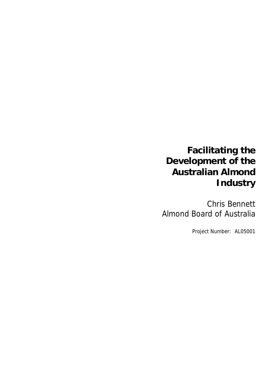# **Facilitating the Development of the Australian Almond Industry**

Chris Bennett Almond Board of Australia

Project Number: AL05001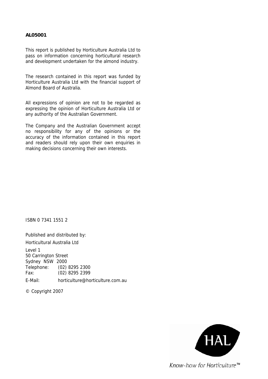#### **AL05001**

This report is published by Horticulture Australia Ltd to pass on information concerning horticultural research and development undertaken for the almond industry.

The research contained in this report was funded by Horticulture Australia Ltd with the financial support of Almond Board of Australia.

All expressions of opinion are not to be regarded as expressing the opinion of Horticulture Australia Ltd or any authority of the Australian Government.

The Company and the Australian Government accept no responsibility for any of the opinions or the accuracy of the information contained in this report and readers should rely upon their own enquiries in making decisions concerning their own interests.

ISBN 0 7341 1551 2

Published and distributed by: Horticultural Australia Ltd Level 1 50 Carrington Street Sydney NSW 2000 Telephone: (02) 8295 2300 Fax: (02) 8295 2399

E-Mail: horticulture@horticulture.com.au

© Copyright 2007

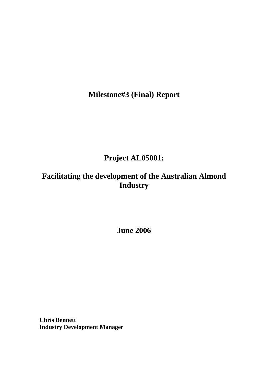**Milestone#3 (Final) Report** 

# **Project AL05001:**

# **Facilitating the development of the Australian Almond Industry**

**June 2006** 

**Chris Bennett Industry Development Manager**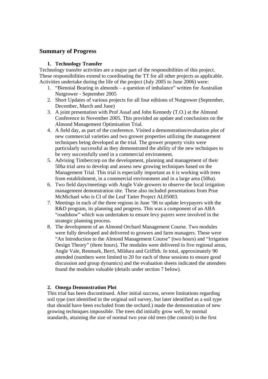# **Summary of Progress**

# **1. Technology Transfer**

Technology transfer activities are a major part of the responsibilities of this project. These responsibilities extend to coordinating the TT for all other projects as applicable. Activities undertake during the life of the project (July 2005 to June 2006) were:

- 1. "Biennial Bearing in almonds a question of imbalance" written for Australian Nutgrower - September 2005
- 2. Short Updates of various projects for all four editions of Nutgrower (September, December, March and June)
- 3. A joint presentation with Prof Assaf and John Kennedy (T.O.) at the Almond Conference in November 2005. This provided an update and conclusions on the Almond Management Optimisation Trial.
- 4. A field day, as part of the conference. Visited a demonstration/evaluation plot of new commercial varieties and two grower properties utilizing the management techniques being developed at the trial. The grower property visits were particularly successful as they demonstrated the ability of the new techniques to be very successfully used in a commercial environment.
- 5. Advising Timbercorp on the development, planning and management of their 50ha trial area to develop and assess new growing techniques based on the Management Trial. This trial is especially important as it is working with trees from establishment, in a commercial environment and in a large area (50ha).
- 6. Two field days/meetings with Angle Vale growers to observe the local irrigation management demonstration site. These also included presentations from Prue McMichael who is CI of the Leaf Tatter Project AL05003.
- 7. Meetings in each of the three regions in June '06 to update levypayers with the R&D program, its planning and progress. This was a component of an ABA "roadshow" which was undertaken to ensure levy payers were involved in the strategic planning process.
- 8. The development of an Almond Orchard Management Course. Two modules were fully developed and delivered to growers and farm managers. These were "An Introduction to the Almond Management Course" (two hours) and "Irrigation Design Theory" (three hours). The modules were delivered in five regional areas, Angle Vale, Renmark, Berri, Mildura and Griffith. In total, approximately 90 attended (numbers were limited to 20 for each of these sessions to ensure good discussion and group dynamics) and the evaluation sheets indicated the attendees found the modules valuable (details under section 7 below).

# **2. Omega Demonstration Plot**

This trial has been discontinued. After initial success, severe limitations regarding soil type (not identified in the original soil survey, but later identified as a soil type that should have been excluded from the orchard.) made the demonstration of new growing techniques impossible. The trees did initially grow well, by normal standards, attaining the size of normal two year old trees (the control) in the first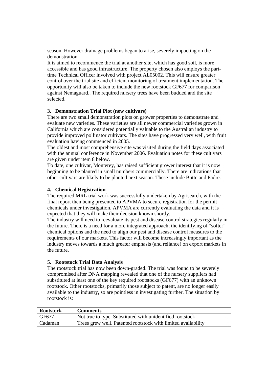season. However drainage problems began to arise, severely impacting on the demonstration.

It is aimed to recommence the trial at another site, which has good soil, is more accessible and has good infrastructure. The property chosen also employs the parttime Technical Officer involved with project AL05002. This will ensure greater control over the trial site and efficient monitoring of treatment implementation. The opportunity will also be taken to include the new rootstock GF677 for comparison against Nemaguard.. The required nursery trees have been budded and the site selected.

### **3. Demonstration Trial Plot (new cultivars)**

There are two small demonstration plots on grower properties to demonstrate and evaluate new varieties. These varieties are all newer commercial varieties grown in California which are considered potentially valuable to the Australian industry to provide improved pollinator cultivars. The sites have progressed very well, with fruit evaluation having commenced in 2005.

The oldest and most comprehensive site was visited during the field days associated with the annual conference in November 2006. Evaluation notes for these cultivars are given under item 8 below.

To date, one cultivar, Monterey, has raised sufficient grower interest that it is now beginning to be planted in small numbers commercially. There are indications that other cultivars are likely to be planted next season. These include Butte and Padre.

### **4. Chemical Registration**

The required MRL trial work was successfully undertaken by Agrisearch, with the final report then being presented to APVMA to secure registration for the permit chemicals under investigation. APVMA are currently evaluating the data and it is expected that they will make their decision known shortly.

The industry will need to reevaluate its pest and disease control strategies regularly in the future. There is a need for a more integrated approach; the identifying of "softer" chemical options and the need to align our pest and disease control measures to the requirements of our markets. This factor will become increasingly important as the industry moves towards a much greater emphasis (and reliance) on export markets in the future.

### **5. Rootstock Trial Data Analysis**

The rootstock trial has now been down-graded. The trial was found to be severely compromised after DNA mapping revealed that one of the nursery suppliers had substituted at least one of the key required rootstocks (GF677) with an unknown rootstock. Other rootstocks, primarily those subject to patent, are no longer easily available to the industry, so are pointless in investigating further. The situation by rootstock is:

| <b>Rootstock</b>   | <b>Comments</b>                                               |
|--------------------|---------------------------------------------------------------|
| $\overline{G}F677$ | Not true to type. Substituted with unidentified rootstock     |
| Cadaman            | Trees grew well. Patented rootstock with limited availability |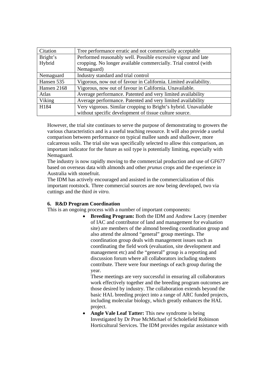| Citation    | Tree performance erratic and not commercially acceptable         |
|-------------|------------------------------------------------------------------|
| Bright's    | Performed reasonably well. Possible excessive vigour and late    |
| Hybrid      | cropping. No longer available commercially. Trial control (with  |
|             | Nemaguard)                                                       |
| Nemaguard   | Industry standard and trial control                              |
| Hansen 535  | Vigorous, now out of favour in California. Limited availability. |
| Hansen 2168 | Vigorous, now out of favour in California. Unavailable.          |
| Atlas       | Average performance. Patented and very limited availability      |
| Viking      | Average performance. Patented and very limited availability      |
| H184        | Very vigorous. Similar cropping to Bright's hybrid. Unavailable  |
|             | without specific development of tissue culture source.           |

However, the trial site continues to serve the purpose of demonstrating to growers the various characteristics and is a useful teaching resource. It will also provide a useful comparison between performance on typical mallee sands and shallower, more calcareous soils. The trial site was specifically selected to allow this comparison, an important indicator for the future as soil type is potentially limiting, especially with Nemaguard.

The industry is now rapidly moving to the commercial production and use of GF677 based on overseas data with almonds and other *prunus* crops and the experience in Australia with stonefruit.

The IDM has actively encouraged and assisted in the commercialization of this important rootstock. Three commercial sources are now being developed, two via cuttings and the third *in vitro.*

### **6. R&D Program Coordination**

This is an ongoing process with a number of important components:

• **Breeding Program:** Both the IDM and Andrew Lacey (member of IAC and contributor of land and management for evaluation site) are members of the almond breeding coordination group and also attend the almond "general" group meetings. The coordination group deals with management issues such as coordinating the field work (evaluation, site development and management etc) and the "general" group is a reporting and discussion forum where all collaborators including students contribute. There were four meetings of each group during the year.

These meetings are very successful in ensuring all collaborators work effectively together and the breeding program outcomes are those desired by industry. The collaboration extends beyond the basic HAL breeding project into a range of ARC funded projects, including molecular biology, which greatly enhances the HAL project.

• **Angle Vale Leaf Tatter:** This new syndrome is being Investigated by Dr Prue McMichael of Scholefield Robinson Horticultural Services. The IDM provides regular assistance with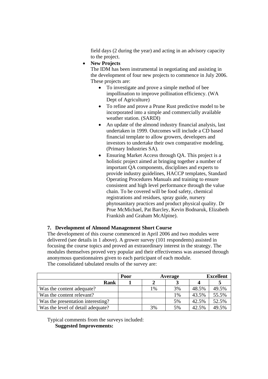field days (2 during the year) and acting in an advisory capacity to the project.

• **New Projects**

The IDM has been instrumental in negotiating and assisting in the development of four new projects to commence in July 2006. These projects are:

- To investigate and prove a simple method of bee impollination to improve pollination efficiency. (WA Dept of Agriculture)
- To refine and prove a Prune Rust predictive model to be incorporated into a simple and commercially available weather station. (SARDI)
- An update of the almond industry financial analysis, last undertaken in 1999. Outcomes will include a CD based financial template to allow growers, developers and investors to undertake their own comparative modeling. (Primary Industries SA).
- Ensuring Market Access through OA. This project is a holistic project aimed at bringing together a number of important QA components, disciplines and experts to provide industry guidelines, HACCP templates, Standard Operating Procedures Manuals and training to ensure consistent and high level performance through the value chain. To be covered will be food safety, chemical registrations and residues, spray guide, nursery phytosanitary practices and product physical quality. Dr Prue McMichael, Pat Barcley, Kevin Bodnaruk, Elizabeth Frankish and Graham McAlpine).

### **7. Development of Almond Management Short Course**

The development of this course commenced in April 2006 and two modules were delivered (see details in 1 above). A grower survey (101 respondents) assisted in focusing the course topics and proved an extraordinary interest in the strategy. The modules themselves proved very popular and their effectiveness was assessed through anonymous questionnaires given to each participant of each module. The consolidated tabulated results of the survey are:

|                                   | Poor |    | Average |       | <b>Excellent</b> |  |
|-----------------------------------|------|----|---------|-------|------------------|--|
| Rank                              |      |    |         |       |                  |  |
| Was the content adequate?         |      | 1% | 3%      | 48.5% | 49.5%            |  |
| Was the content relevant?         |      |    | 1%      | 43.5% | 55.5%            |  |
| Was the presentation interesting? |      |    | 5%      | 42.5% | 52.5%            |  |
| Was the level of detail adequate? |      | 3% | 5%      | 42.5% | 49.5%            |  |

Typical comments from the surveys included:

**Suggested Improvements:**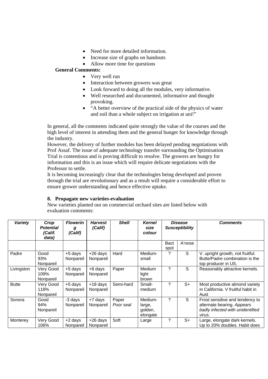- Need for more detailed information.
- Increase size of graphs on handouts
- Allow more time for questions

## **General Comments:**

- Very well run
- Interaction between growers was great
- Look forward to doing all the modules, very informative.
- Well researched and documented, informative and thought provoking.
- "A better overview of the practical side of the physics of water and soil than a whole subject on irrigation at uni!"

In general, all the comments indicated quite strongly the value of the courses and the high level of interest in attending them and the general hunger for knowledge through the industry.

However, the delivery of further modules has been delayed pending negotiations with Prof Assaf. The issue of adequate technology transfer surrounding the Optimisation Trial is contentious and is proving difficult to resolve. The growers are hungry for information and this is an issue which will require delicate negotiations with the Professor to settle.

It is becoming increasingly clear that the technologies being developed and proven through the trial are revolutionary and as a result will require a considerable effort to ensure grower understanding and hence effective uptake.

### **8. Propagate new varieties-evaluation**

New varieties planted out on commercial orchard sites are listed below with evaluation comments:

| <b>Variety</b> | Crop<br><b>Potential</b><br>(Calif.<br>data) | <b>Flowerin</b><br>g<br>(Calif) | <b>Harvest</b><br>(Calif) | <b>Shell</b>       | <b>Kernel</b><br>size<br>colour          | <b>Disease</b><br><b>Susceptibility</b> |        |                                                                                                             |  | <b>Comments</b> |
|----------------|----------------------------------------------|---------------------------------|---------------------------|--------------------|------------------------------------------|-----------------------------------------|--------|-------------------------------------------------------------------------------------------------------------|--|-----------------|
|                |                                              |                                 |                           |                    |                                          | <b>Bact</b><br>spot                     | A'nose |                                                                                                             |  |                 |
| Padre          | Good<br>93%<br>Nonpareil                     | +5 days<br>Nonpareil            | $+26$ days<br>Nonpareil   | Hard               | Medium-<br>small                         | ?                                       | S      | V. upright growth, not fruitful.<br>Butte/Padre combination is the<br>top producer in US.                   |  |                 |
| Livingston     | Very Good<br>109%<br>Nonpareil               | $+5$ days<br>Nonpareil          | +8 days<br>Nonpareil      | Paper              | Medium<br>light<br>brown                 | ?                                       | S      | Reasonably attractive kernels.                                                                              |  |                 |
| <b>Butte</b>   | Very Good<br>118%<br>Nonpareil               | $+5$ days<br>Nonpareil          | $+18$ days<br>Nonpareil   | Semi-hard          | Small-<br>medium                         | ?                                       | $S+$   | Most productive almond variety<br>in California. V fruitful habit in<br>Aust                                |  |                 |
| Sonora         | Good<br>94%<br>Nonpareil                     | -3 days<br>Nonpareil            | +7 days<br>Nonpareil      | Paper<br>Poor seal | Medium-<br>large,<br>golden,<br>elongate | 7                                       | S      | Frost sensitive and tendency to<br>alternate bearing. Appears<br>badly infected with unidentified<br>virus. |  |                 |
| Monterey       | Very Good<br>106%                            | +2 days<br>Nonpareil            | +26 days<br>Nonpareil     | Soft               | Large                                    | ?                                       | $S+$   | Large, elongate dark kernels.<br>Up to 20% doubles. Habit does                                              |  |                 |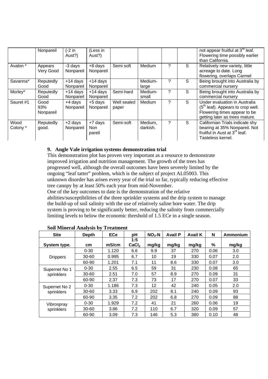|                  | Nonpareil                | (-2 in<br>Aust?)        | (Less in<br>Aust?)       |                      |                     |   |   | not appear fruitful at 3 <sup>rd</sup> leaf.<br>Flowering time possibly earlier<br>than California.                                    |
|------------------|--------------------------|-------------------------|--------------------------|----------------------|---------------------|---|---|----------------------------------------------------------------------------------------------------------------------------------------|
| Avalon *         | Appears<br>Very Good     | -3 days<br>Nonpareil    | +8 days<br>Nonpareil     | Semi soft            | <b>Medium</b>       | ? | S | Relatively new variety, little<br>acreage to date. Long<br>flowering, overlaps Carmel                                                  |
| Savanna*         | Reputedly<br>Good        | $+14$ days<br>Nonpareil | $+14$ days<br>Nonpareil  |                      | Medium-<br>large    | ? | S | Being brought into Australia by<br>commercial nursery                                                                                  |
| Morley*          | Reputedly<br>Good        | +14 days<br>Nonpareil   | $+14$ days<br>Nonpareil  | Semi-hard            | Medium-<br>small    | ? | S | Being brought into Australia by<br>commercial nursery                                                                                  |
| Sauret #1        | Good<br>93%<br>Nonpareil | +4 days<br>Nonpareil    | +5 days<br>Nonpareil     | Well sealed<br>paper | Medium              | ? | S | Under evaluation in Australia<br>$(5th$ leaf). Appears to crop well.<br>Flowering times appear to be<br>getting later as trees mature. |
| Wood<br>Colony * | Reputedly<br>good.       | +2 days<br>Nonpareil    | +7 days<br>Non<br>pareil | Semi-soft            | Medium,<br>darkish. | ? | S | Californian Trials indicate shy<br>bearing at 35% Nonpareil. Not<br>fruitful in Aust at 3 <sup>rd</sup> leaf.<br>Tasteless kernel.     |

### **9. Angle Vale irrigation systems demonstration trial**

This demonstration plot has proven very important as a resource to demonstrate improved irrigation and nutrition management. The growth of the trees has progressed well, although the overall outcomes have been severely limited by the ongoing "leaf tatter" problem, which is the subject of project AL05003. This unknown disorder has arisen every year of the trial so far, typically reducing effective tree canopy by at least 50% each year from mid-November. One of the key outcomes to date is the demonstration of the relative abilities/susceptibilities of the three sprinkler systems and the drip system to manage the build-up of soil salinity with the use of relatively saline bore water. The drip system is proving to be significantly better, reducing the salinity from commercially limiting levels to below the economic threshold of 1.5 ECe in a single season.

| <b>Site</b>                 | <b>Depth</b>    | <b>ECe</b> | рH                       | $NO3 - N$ | <b>Avail P</b> | <b>Avail K</b> | N    | Ammonium |
|-----------------------------|-----------------|------------|--------------------------|-----------|----------------|----------------|------|----------|
| System type.                | cm <sub>2</sub> | mS/cm      | 1:5<br>CaCl <sub>2</sub> | mg/kg     | mg/kg          | mg/kg          | %    | mg/kg    |
|                             | $0 - 30$        | 1.120      | 6.6                      | 9.9       | 37             | 270            | 0.06 | 3.0      |
| <b>Drippers</b>             | $30 - 60$       | 0.995      | 6.7                      | 10        | 19             | 330            | 0.07 | 2.0      |
|                             | 60-90           | 1.201      | 7.1                      | 11        | 8.6            | 330            | 0.07 | 3.0      |
| Supernet No 1<br>sprinklers | $0 - 30$        | 2.55       | 6.5                      | 59        | 31             | 230            | 0.08 | 65       |
|                             | $30 - 60$       | 2.51       | 7.0                      | 57        | 8.9            | 270            | 0.09 | 31       |
|                             | 60-90           | 2.37       | 7.3                      | 73        | 17             | 270            | 0.07 | 33       |
| Supernet No 2<br>sprinklers | $0 - 30$        | 1.186      | 7.3                      | 12        | 42             | 240            | 0.05 | 2.0      |
|                             | $30 - 60$       | 3.33       | 6.9                      | 202       | 8.1            | 240            | 0.09 | 93       |
|                             | 60-90           | 3.35       | 7.2                      | 202       | 6.8            | 270            | 0.09 | 88       |
| Vibrospray<br>sprinklers    | $0 - 30$        | 1.929      | 7.2                      | 41        | 21             | 260            | 0.06 | 19       |
|                             | $30 - 60$       | 3.86       | 7.2                      | 110       | 6.7            | 320            | 0.09 | 57       |
|                             | 60-90           | 3.09       | 7.3                      | 146       | 5.3            | 380            | 0.10 | 48       |

### **Soil Mineral Analysis by Treatment**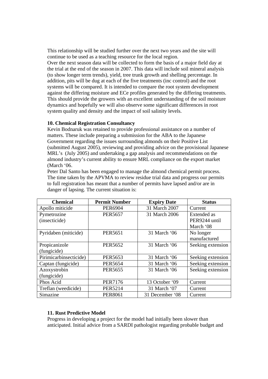This relationship will be studied further over the next two years and the site will continue to be used as a teaching resource for the local region.

Over the next season data will be collected to form the basis of a major field day at the trial at the end of the season in 2007. This data will include soil mineral analysis (to show longer term trends), yield, tree trunk growth and shelling percentage. In addition, pits will be dug at each of the five treatments (inc control) and the root systems will be compared. It is intended to compare the root system development against the differing moisture and ECe profiles generated by the differing treatments. This should provide the growers with an excellent understanding of the soil moisture dynamics and hopefully we will also observe some significant differences in root system quality and density and the impact of soil salinity levels.

#### **10. Chemical Registration Consultancy**

Kevin Bodnaruk was retained to provide professional assistance on a number of matters. These include preparing a submission for the ABA to the Japanese Government regarding the issues surrounding almonds on their Positive List (submitted August 2005), reviewing and providing advice on the provisional Japanese MRL's (July 2005) and undertaking a gap analysis and recommendations on the almond industry's current ability to ensure MRL compliance on the export market (March '06.

Peter Dal Santo has been engaged to manage the almond chemical permit process. The time taken by the APVMA to review residue trial data and progress our permits to full registration has meant that a number of permits have lapsed and/or are in danger of lapsing. The current situation is:

| <b>Chemical</b>        | <b>Permit Number</b> | <b>Expiry Date</b> | <b>Status</b>     |
|------------------------|----------------------|--------------------|-------------------|
| Apollo miticide        | <b>PER6904</b>       | 31 March 2007      | Current           |
| Pymetrozine            | <b>PER5657</b>       | 31 March 2006      | Extended as       |
| (insecticide)          |                      |                    | PER9244 until     |
|                        |                      |                    | March '08         |
| Pyridaben (miticide)   | <b>PER5651</b>       | 31 March '06       | No longer         |
|                        |                      |                    | manufactured      |
| Propicanizole          | <b>PER5652</b>       | 31 March '06       | Seeking extension |
| (fungicide)            |                      |                    |                   |
| Pirimicarbinsecticide) | PER5653              | 31 March '06       | Seeking extension |
| Captan (fungicide)     | <b>PER5654</b>       | 31 March '06       | Seeking extension |
| Azoxystrobin           | <b>PER5655</b>       | 31 March '06       | Seeking extension |
| (fungicide)            |                      |                    |                   |
| Phos Acid              | <b>PER7176</b>       | 13 October '09     | Current           |
| Treflan (weedicide)    | <b>PER5214</b>       | 31 March '07       | Current           |
| Simazine               | <b>PER8061</b>       | 31 December '08    | Current           |

### **11. Rust Predictive Model**

Progress in developing a project for the model had initially been slower than anticipated. Initial advice from a SARDI pathologist regarding probable budget and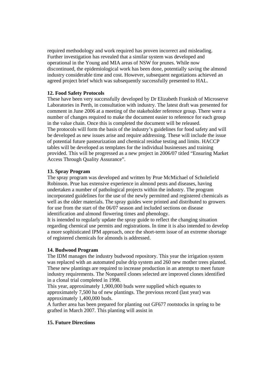required methodology and work required has proven incorrect and misleading. Further investigation has revealed that a similar system was developed and operational in the Young and MIA areas of NSW for prunes. While now discontinued, the epidemiological work has been done, potentially saving the almond industry considerable time and cost. However, subsequent negotiations achieved an agreed project brief which was subsequently successfully presented to HAL.

#### **12. Food Safety Protocols**

These have been very successfully developed by Dr Elizabeth Frankish of Microserve Laboratories in Perth, in consultation with industry. The latest draft was presented for comment in June 2006 at a meeting of the stakeholder reference group. There were a number of changes required to make the document easier to reference for each group in the value chain. Once this is completed the document will be released. The protocols will form the basis of the industry's guidelines for food safety and will be developed as new issues arise and require addressing. These will include the issue of potential future pasteurization and chemical residue testing and limits. HACCP tables will be developed as templates for the individual businesses and training provided. This will be progressed as a new project in 2006/07 titled "Ensuring Market Access Through Quality Assurance".

#### **13. Spray Program**

The spray program was developed and written by Prue McMichael of Scholefield Robinson. Prue has extensive experience in almond pests and diseases, having undertaken a number of pathological projects within the industry. The program incorporated guidelines for the use of the newly permitted and registered chemicals as well as the older materials. The spray guides were printed and distributed to growers for use from the start of the 06/07 season and included sections on disease identification and almond flowering times and phenology.

It is intended to regularly update the spray guide to reflect the changing situation regarding chemical use permits and registrations. In time it is also intended to develop a more sophisticated IPM approach, once the short-term issue of an extreme shortage of registered chemicals for almonds is addressed.

#### **14. Budwood Program**

The IDM manages the industry budwood repository. This year the irrigation system was replaced with an automated pulse drip system and 260 new mother trees planted. These new plantings are required to increase production in an attempt to meet future industry requirements. The Nonpareil clones selected are improved clones identified in a clonal trial completed in 1998.

This year, approximately 1,900,000 buds were supplied which equates to approximately 7,500 ha of new plantings. The previous record (last year) was approximately 1,400,000 buds.

A further area has been prepared for planting out GF677 rootstocks in spring to be grafted in March 2007. This planting will assist in

#### **15. Future Directions**